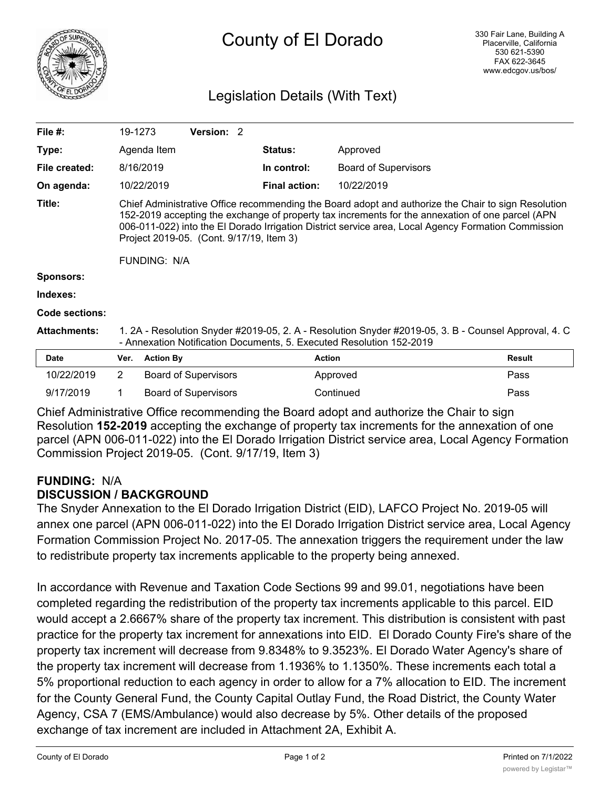

# County of El Dorado

## Legislation Details (With Text)

| File $#$ :          | 19-1273                                                                                                                                                                                                                                                                                                                                                                           |                  | Version: 2                  |  |                      |                             |               |
|---------------------|-----------------------------------------------------------------------------------------------------------------------------------------------------------------------------------------------------------------------------------------------------------------------------------------------------------------------------------------------------------------------------------|------------------|-----------------------------|--|----------------------|-----------------------------|---------------|
| Type:               |                                                                                                                                                                                                                                                                                                                                                                                   | Agenda Item      |                             |  | <b>Status:</b>       | Approved                    |               |
| File created:       |                                                                                                                                                                                                                                                                                                                                                                                   | 8/16/2019        |                             |  | In control:          | <b>Board of Supervisors</b> |               |
| On agenda:          |                                                                                                                                                                                                                                                                                                                                                                                   | 10/22/2019       |                             |  | <b>Final action:</b> | 10/22/2019                  |               |
| Title:              | Chief Administrative Office recommending the Board adopt and authorize the Chair to sign Resolution<br>152-2019 accepting the exchange of property tax increments for the annexation of one parcel (APN<br>006-011-022) into the El Dorado Irrigation District service area, Local Agency Formation Commission<br>Project 2019-05. (Cont. 9/17/19, Item 3)<br><b>FUNDING: N/A</b> |                  |                             |  |                      |                             |               |
| Sponsors:           |                                                                                                                                                                                                                                                                                                                                                                                   |                  |                             |  |                      |                             |               |
| Indexes:            |                                                                                                                                                                                                                                                                                                                                                                                   |                  |                             |  |                      |                             |               |
| Code sections:      |                                                                                                                                                                                                                                                                                                                                                                                   |                  |                             |  |                      |                             |               |
| <b>Attachments:</b> | 1. 2A - Resolution Snyder #2019-05, 2. A - Resolution Snyder #2019-05, 3. B - Counsel Approval, 4. C<br>- Annexation Notification Documents, 5. Executed Resolution 152-2019                                                                                                                                                                                                      |                  |                             |  |                      |                             |               |
| <b>Date</b>         | Ver.                                                                                                                                                                                                                                                                                                                                                                              | <b>Action By</b> |                             |  | <b>Action</b>        |                             | <b>Result</b> |
| 10/22/2019          | $\overline{2}$                                                                                                                                                                                                                                                                                                                                                                    |                  | <b>Board of Supervisors</b> |  |                      | Approved                    | Pass          |

Chief Administrative Office recommending the Board adopt and authorize the Chair to sign Resolution **152-2019** accepting the exchange of property tax increments for the annexation of one parcel (APN 006-011-022) into the El Dorado Irrigation District service area, Local Agency Formation Commission Project 2019-05. (Cont. 9/17/19, Item 3)

9/17/2019 1 Board of Supervisors Continued Continued Pass

#### **FUNDING:** N/A **DISCUSSION / BACKGROUND**

The Snyder Annexation to the El Dorado Irrigation District (EID), LAFCO Project No. 2019-05 will annex one parcel (APN 006-011-022) into the El Dorado Irrigation District service area, Local Agency Formation Commission Project No. 2017-05. The annexation triggers the requirement under the law to redistribute property tax increments applicable to the property being annexed.

In accordance with Revenue and Taxation Code Sections 99 and 99.01, negotiations have been completed regarding the redistribution of the property tax increments applicable to this parcel. EID would accept a 2.6667% share of the property tax increment. This distribution is consistent with past practice for the property tax increment for annexations into EID. El Dorado County Fire's share of the property tax increment will decrease from 9.8348% to 9.3523%. El Dorado Water Agency's share of the property tax increment will decrease from 1.1936% to 1.1350%. These increments each total a 5% proportional reduction to each agency in order to allow for a 7% allocation to EID. The increment for the County General Fund, the County Capital Outlay Fund, the Road District, the County Water Agency, CSA 7 (EMS/Ambulance) would also decrease by 5%. Other details of the proposed exchange of tax increment are included in Attachment 2A, Exhibit A.